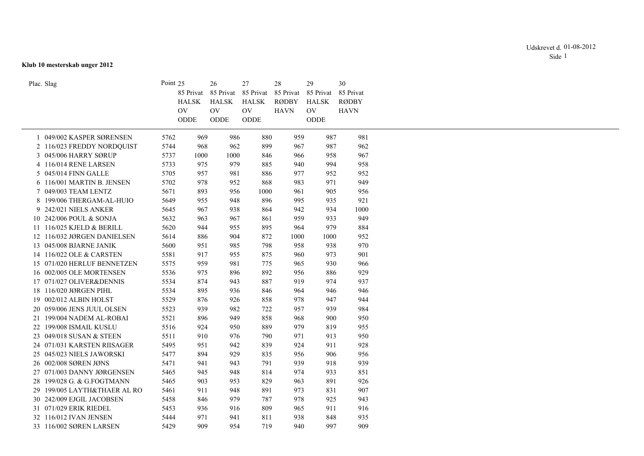## **Klub 10 mesterskab unger 2012**

|              | Plac. Slag                   | Point 25 |                | 26           | 27           | 28           | 29           | 30           |
|--------------|------------------------------|----------|----------------|--------------|--------------|--------------|--------------|--------------|
|              |                              |          | 85 Privat      | 85 Privat    | 85 Privat    | 85 Privat    | 85 Privat    | 85 Privat    |
|              |                              |          | <b>HALSK</b>   | <b>HALSK</b> | <b>HALSK</b> | <b>RØDBY</b> | <b>HALSK</b> | <b>RØDBY</b> |
|              |                              |          | O <sub>V</sub> | $\hbox{OV}$  | $\hbox{OV}$  | <b>HAVN</b>  | $\hbox{OV}$  | <b>HAVN</b>  |
|              |                              |          | ODDE           | ODDE         | ODDE         |              | ODDE         |              |
| $\mathbf{1}$ | 049/002 KASPER SØRENSEN      | 5762     | 969            | 986          | 880          | 959          | 987          | 981          |
|              | 2 116/023 FREDDY NORDQUIST   | 5744     | 968            | 962          | 899          | 967          | 987          | 962          |
|              | 3 045/006 HARRY SØRUP        | 5737     | 1000           | 1000         | 846          | 966          | 958          | 967          |
|              | 4 116/014 RENE LARSEN        | 5733     | 975            | 979          | 885          |              | 994          | 958          |
|              |                              |          |                |              |              | 940          |              |              |
|              | 5 045/014 FINN GALLE         | 5705     | 957            | 981          | 886          | 977          | 952          | 952          |
|              | 6 116/001 MARTIN B. JENSEN   | 5702     | 978            | 952          | 868          | 983          | 971          | 949          |
|              | 7 049/003 TEAM LENTZ         | 5671     | 893            | 956          | 1000         | 961          | 905          | 956          |
|              | 8 199/006 THERGAM-AL-HUIO    | 5649     | 955            | 948          | 896          | 995          | 935          | 921          |
|              | 9 242/021 NIELS ANKER        | 5645     | 967            | 938          | 864          | 942          | 934          | 1000         |
|              | 10 242/006 POUL & SONJA      | 5632     | 963            | 967          | 861          | 959          | 933          | 949          |
|              | 11 116/025 KJELD & BERILL    | 5620     | 944            | 955          | 895          | 964          | 979          | 884          |
|              | 12 116/032 JØRGEN DANIELSEN  | 5614     | 886            | 904          | 872          | 1000         | 1000         | 952          |
|              | 13 045/008 BJARNE JANIK      | 5600     | 951            | 985          | 798          | 958          | 938          | 970          |
|              | 14 116/022 OLE & CARSTEN     | 5581     | 917            | 955          | 875          | 960          | 973          | 901          |
|              | 15 071/020 HERLUF BENNETZEN  | 5575     | 959            | 981          | 775          | 965          | 930          | 966          |
|              | 16 002/005 OLE MORTENSEN     | 5536     | 975            | 896          | 892          | 956          | 886          | 929          |
|              | 17 071/027 OLIVER&DENNIS     | 5534     | 874            | 943          | 887          | 919          | 974          | 937          |
|              | 18 116/020 JØRGEN PIHL       | 5534     | 895            | 936          | 846          | 964          | 946          | 946          |
|              | 19 002/012 ALBIN HOLST       | 5529     | 876            | 926          | 858          | 978          | 947          | 944          |
|              | 20 059/006 JENS JUUL OLSEN   | 5523     | 939            | 982          | 722          | 957          | 939          | 984          |
|              | 21 199/004 NADEM AL-ROBAI    | 5521     | 896            | 949          | 858          | 968          | 900          | 950          |
|              | 22 199/008 ISMAIL KUSLU      | 5516     | 924            | 950          | 889          | 979          | 819          | 955          |
|              | 23 049/018 SUSAN & STEEN     | 5511     | 910            | 976          | 790          | 971          | 913          | 950          |
|              | 24 071/031 KARSTEN RIISAGER  | 5495     | 951            | 942          | 839          | 924          | 911          | 928          |
|              | 25 045/023 NIELS JAWORSKI    | 5477     | 894            | 929          | 835          | 956          | 906          | 956          |
|              | 26 002/008 SØREN JØNS        | 5471     |                | 943          | 791          | 939          | 918          | 939          |
|              |                              |          | 941            |              |              |              |              |              |
|              | 27 071/003 DANNY JØRGENSEN   | 5465     | 945            | 948          | 814          | 974          | 933          | 851          |
|              | 28 199/028 G. & G.FOGTMANN   | 5465     | 903            | 953          | 829          | 963          | 891          | 926          |
|              | 29 199/005 LAYTH&THAER AL RO | 5461     | 911            | 948          | 891          | 973          | 831          | 907          |
|              | 30 242/009 EJGIL JACOBSEN    | 5458     | 846            | 979          | 787          | 978          | 925          | 943          |
|              | 31 071/029 ERIK RIEDEL       | 5453     | 936            | 916          | 809          | 965          | 911          | 916          |
|              | 32 116/012 IVAN JENSEN       | 5444     | 971            | 941          | 811          | 938          | 848          | 935          |
|              | 33 116/002 SØREN LARSEN      | 5429     | 909            | 954          | 719          | 940          | 997          | 909          |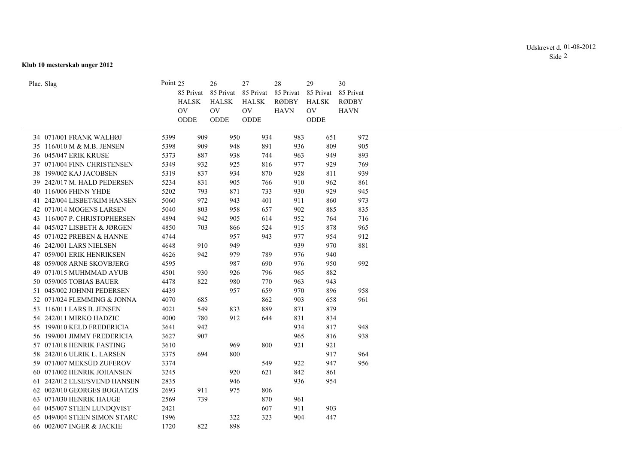## **Klub 10 mesterskab unger 2012**

|      |                                                                                                                                                                      | 26<br>HALSK<br>O <sub>V</sub>                              | 27<br><b>HALSK</b><br><b>OV</b>                                                                                                                                                    | 28<br>85 Privat<br><b>RØDBY</b><br><b>HAVN</b>                                                                                                                                                                              | 29<br>85 Privat<br><b>HALSK</b><br><b>OV</b>                                                                                                                                              | 30<br>85 Privat<br><b>RØDBY</b><br><b>HAVN</b>                                                                                                                                                                                                                                                                                                       |
|------|----------------------------------------------------------------------------------------------------------------------------------------------------------------------|------------------------------------------------------------|------------------------------------------------------------------------------------------------------------------------------------------------------------------------------------|-----------------------------------------------------------------------------------------------------------------------------------------------------------------------------------------------------------------------------|-------------------------------------------------------------------------------------------------------------------------------------------------------------------------------------------|------------------------------------------------------------------------------------------------------------------------------------------------------------------------------------------------------------------------------------------------------------------------------------------------------------------------------------------------------|
|      |                                                                                                                                                                      |                                                            |                                                                                                                                                                                    |                                                                                                                                                                                                                             |                                                                                                                                                                                           |                                                                                                                                                                                                                                                                                                                                                      |
| 5399 |                                                                                                                                                                      |                                                            |                                                                                                                                                                                    |                                                                                                                                                                                                                             | 651                                                                                                                                                                                       | 972                                                                                                                                                                                                                                                                                                                                                  |
| 5398 |                                                                                                                                                                      |                                                            |                                                                                                                                                                                    |                                                                                                                                                                                                                             | 809                                                                                                                                                                                       | 905                                                                                                                                                                                                                                                                                                                                                  |
| 5373 |                                                                                                                                                                      |                                                            |                                                                                                                                                                                    |                                                                                                                                                                                                                             | 949                                                                                                                                                                                       | 893                                                                                                                                                                                                                                                                                                                                                  |
| 5349 |                                                                                                                                                                      |                                                            |                                                                                                                                                                                    |                                                                                                                                                                                                                             | 929                                                                                                                                                                                       | 769                                                                                                                                                                                                                                                                                                                                                  |
| 5319 |                                                                                                                                                                      |                                                            |                                                                                                                                                                                    |                                                                                                                                                                                                                             | 811                                                                                                                                                                                       | 939                                                                                                                                                                                                                                                                                                                                                  |
| 5234 |                                                                                                                                                                      |                                                            |                                                                                                                                                                                    |                                                                                                                                                                                                                             | 962                                                                                                                                                                                       | 861                                                                                                                                                                                                                                                                                                                                                  |
| 5202 |                                                                                                                                                                      |                                                            |                                                                                                                                                                                    |                                                                                                                                                                                                                             | 929                                                                                                                                                                                       | 945                                                                                                                                                                                                                                                                                                                                                  |
| 5060 |                                                                                                                                                                      |                                                            |                                                                                                                                                                                    |                                                                                                                                                                                                                             | 860                                                                                                                                                                                       | 973                                                                                                                                                                                                                                                                                                                                                  |
| 5040 |                                                                                                                                                                      |                                                            |                                                                                                                                                                                    |                                                                                                                                                                                                                             | 885                                                                                                                                                                                       | 835                                                                                                                                                                                                                                                                                                                                                  |
| 4894 |                                                                                                                                                                      |                                                            |                                                                                                                                                                                    |                                                                                                                                                                                                                             | 764                                                                                                                                                                                       | 716                                                                                                                                                                                                                                                                                                                                                  |
| 4850 |                                                                                                                                                                      |                                                            |                                                                                                                                                                                    |                                                                                                                                                                                                                             | 878                                                                                                                                                                                       | 965                                                                                                                                                                                                                                                                                                                                                  |
| 4744 |                                                                                                                                                                      |                                                            |                                                                                                                                                                                    |                                                                                                                                                                                                                             | 954                                                                                                                                                                                       | 912                                                                                                                                                                                                                                                                                                                                                  |
|      |                                                                                                                                                                      |                                                            |                                                                                                                                                                                    |                                                                                                                                                                                                                             |                                                                                                                                                                                           | 881                                                                                                                                                                                                                                                                                                                                                  |
|      |                                                                                                                                                                      |                                                            |                                                                                                                                                                                    |                                                                                                                                                                                                                             |                                                                                                                                                                                           |                                                                                                                                                                                                                                                                                                                                                      |
|      |                                                                                                                                                                      |                                                            |                                                                                                                                                                                    |                                                                                                                                                                                                                             |                                                                                                                                                                                           | 992                                                                                                                                                                                                                                                                                                                                                  |
|      |                                                                                                                                                                      |                                                            |                                                                                                                                                                                    |                                                                                                                                                                                                                             |                                                                                                                                                                                           |                                                                                                                                                                                                                                                                                                                                                      |
|      |                                                                                                                                                                      |                                                            |                                                                                                                                                                                    |                                                                                                                                                                                                                             |                                                                                                                                                                                           |                                                                                                                                                                                                                                                                                                                                                      |
|      |                                                                                                                                                                      |                                                            |                                                                                                                                                                                    |                                                                                                                                                                                                                             |                                                                                                                                                                                           | 958                                                                                                                                                                                                                                                                                                                                                  |
|      |                                                                                                                                                                      |                                                            |                                                                                                                                                                                    |                                                                                                                                                                                                                             |                                                                                                                                                                                           | 961                                                                                                                                                                                                                                                                                                                                                  |
|      |                                                                                                                                                                      |                                                            |                                                                                                                                                                                    |                                                                                                                                                                                                                             |                                                                                                                                                                                           |                                                                                                                                                                                                                                                                                                                                                      |
|      |                                                                                                                                                                      |                                                            |                                                                                                                                                                                    |                                                                                                                                                                                                                             |                                                                                                                                                                                           |                                                                                                                                                                                                                                                                                                                                                      |
|      |                                                                                                                                                                      |                                                            |                                                                                                                                                                                    |                                                                                                                                                                                                                             |                                                                                                                                                                                           | 948                                                                                                                                                                                                                                                                                                                                                  |
|      |                                                                                                                                                                      |                                                            |                                                                                                                                                                                    |                                                                                                                                                                                                                             |                                                                                                                                                                                           | 938                                                                                                                                                                                                                                                                                                                                                  |
|      |                                                                                                                                                                      |                                                            |                                                                                                                                                                                    |                                                                                                                                                                                                                             |                                                                                                                                                                                           |                                                                                                                                                                                                                                                                                                                                                      |
|      |                                                                                                                                                                      |                                                            |                                                                                                                                                                                    |                                                                                                                                                                                                                             |                                                                                                                                                                                           | 964                                                                                                                                                                                                                                                                                                                                                  |
|      |                                                                                                                                                                      |                                                            |                                                                                                                                                                                    |                                                                                                                                                                                                                             |                                                                                                                                                                                           | 956                                                                                                                                                                                                                                                                                                                                                  |
|      |                                                                                                                                                                      |                                                            |                                                                                                                                                                                    |                                                                                                                                                                                                                             |                                                                                                                                                                                           |                                                                                                                                                                                                                                                                                                                                                      |
|      |                                                                                                                                                                      |                                                            |                                                                                                                                                                                    |                                                                                                                                                                                                                             |                                                                                                                                                                                           |                                                                                                                                                                                                                                                                                                                                                      |
|      |                                                                                                                                                                      |                                                            |                                                                                                                                                                                    |                                                                                                                                                                                                                             |                                                                                                                                                                                           |                                                                                                                                                                                                                                                                                                                                                      |
|      |                                                                                                                                                                      |                                                            |                                                                                                                                                                                    |                                                                                                                                                                                                                             |                                                                                                                                                                                           |                                                                                                                                                                                                                                                                                                                                                      |
|      |                                                                                                                                                                      |                                                            |                                                                                                                                                                                    |                                                                                                                                                                                                                             |                                                                                                                                                                                           |                                                                                                                                                                                                                                                                                                                                                      |
|      |                                                                                                                                                                      |                                                            |                                                                                                                                                                                    |                                                                                                                                                                                                                             |                                                                                                                                                                                           |                                                                                                                                                                                                                                                                                                                                                      |
|      |                                                                                                                                                                      |                                                            |                                                                                                                                                                                    |                                                                                                                                                                                                                             |                                                                                                                                                                                           |                                                                                                                                                                                                                                                                                                                                                      |
|      | 4648<br>4626<br>4595<br>4501<br>4478<br>4439<br>4070<br>4021<br>4000<br>3641<br>3627<br>3610<br>3375<br>3374<br>3245<br>2835<br>2693<br>2569<br>2421<br>1996<br>1720 | Point 25<br>85 Privat<br>HALSK<br><b>OV</b><br>$\rm O DDE$ | $\rm ODDE$<br>909<br>909<br>887<br>932<br>837<br>831<br>793<br>972<br>803<br>942<br>703<br>910<br>942<br>930<br>822<br>685<br>549<br>780<br>942<br>907<br>694<br>911<br>739<br>822 | 85 Privat<br>85 Privat<br>ODDE<br>950<br>948<br>938<br>925<br>934<br>905<br>871<br>943<br>958<br>905<br>866<br>957<br>949<br>979<br>987<br>926<br>980<br>957<br>833<br>912<br>969<br>800<br>920<br>946<br>975<br>322<br>898 | 934<br>891<br>744<br>816<br>870<br>766<br>733<br>401<br>657<br>614<br>524<br>943<br>789<br>690<br>796<br>770<br>659<br>862<br>889<br>644<br>800<br>549<br>621<br>806<br>870<br>607<br>323 | ODDE<br>983<br>936<br>963<br>977<br>928<br>910<br>930<br>911<br>902<br>952<br>915<br>977<br>939<br>970<br>976<br>940<br>950<br>976<br>965<br>882<br>963<br>943<br>970<br>896<br>903<br>658<br>871<br>879<br>831<br>834<br>934<br>817<br>965<br>816<br>921<br>921<br>917<br>922<br>947<br>842<br>861<br>936<br>954<br>961<br>911<br>903<br>447<br>904 |